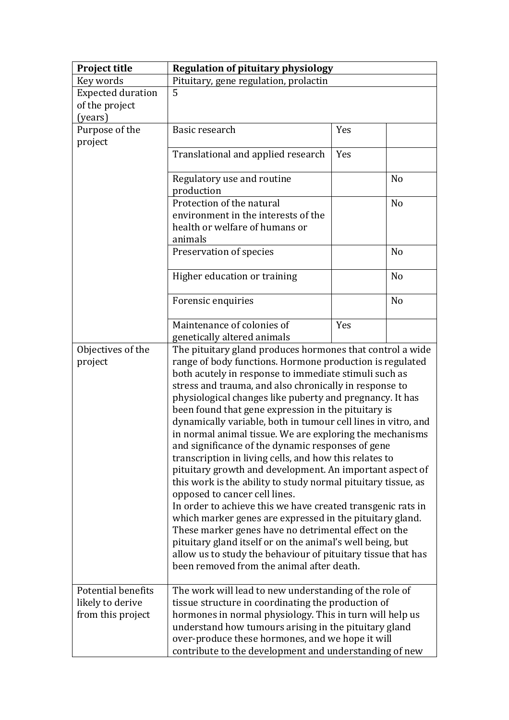| <b>Project title</b>                                               | <b>Regulation of pituitary physiology</b>                                                                                                                                                                                                                                                                                                                                                                                                                                                                                                                                                                                                                                                                                                                                                                                                                                                                                                                                                                                |     |                |
|--------------------------------------------------------------------|--------------------------------------------------------------------------------------------------------------------------------------------------------------------------------------------------------------------------------------------------------------------------------------------------------------------------------------------------------------------------------------------------------------------------------------------------------------------------------------------------------------------------------------------------------------------------------------------------------------------------------------------------------------------------------------------------------------------------------------------------------------------------------------------------------------------------------------------------------------------------------------------------------------------------------------------------------------------------------------------------------------------------|-----|----------------|
| Key words                                                          | Pituitary, gene regulation, prolactin                                                                                                                                                                                                                                                                                                                                                                                                                                                                                                                                                                                                                                                                                                                                                                                                                                                                                                                                                                                    |     |                |
| <b>Expected duration</b>                                           | 5                                                                                                                                                                                                                                                                                                                                                                                                                                                                                                                                                                                                                                                                                                                                                                                                                                                                                                                                                                                                                        |     |                |
| of the project                                                     |                                                                                                                                                                                                                                                                                                                                                                                                                                                                                                                                                                                                                                                                                                                                                                                                                                                                                                                                                                                                                          |     |                |
| (years)                                                            |                                                                                                                                                                                                                                                                                                                                                                                                                                                                                                                                                                                                                                                                                                                                                                                                                                                                                                                                                                                                                          |     |                |
| Purpose of the                                                     | Basic research                                                                                                                                                                                                                                                                                                                                                                                                                                                                                                                                                                                                                                                                                                                                                                                                                                                                                                                                                                                                           | Yes |                |
| project                                                            |                                                                                                                                                                                                                                                                                                                                                                                                                                                                                                                                                                                                                                                                                                                                                                                                                                                                                                                                                                                                                          |     |                |
|                                                                    | Translational and applied research                                                                                                                                                                                                                                                                                                                                                                                                                                                                                                                                                                                                                                                                                                                                                                                                                                                                                                                                                                                       | Yes |                |
|                                                                    | Regulatory use and routine<br>production                                                                                                                                                                                                                                                                                                                                                                                                                                                                                                                                                                                                                                                                                                                                                                                                                                                                                                                                                                                 |     | N <sub>o</sub> |
|                                                                    | Protection of the natural                                                                                                                                                                                                                                                                                                                                                                                                                                                                                                                                                                                                                                                                                                                                                                                                                                                                                                                                                                                                |     | N <sub>o</sub> |
|                                                                    | environment in the interests of the<br>health or welfare of humans or<br>animals                                                                                                                                                                                                                                                                                                                                                                                                                                                                                                                                                                                                                                                                                                                                                                                                                                                                                                                                         |     |                |
|                                                                    | Preservation of species                                                                                                                                                                                                                                                                                                                                                                                                                                                                                                                                                                                                                                                                                                                                                                                                                                                                                                                                                                                                  |     | N <sub>o</sub> |
|                                                                    | Higher education or training                                                                                                                                                                                                                                                                                                                                                                                                                                                                                                                                                                                                                                                                                                                                                                                                                                                                                                                                                                                             |     | N <sub>o</sub> |
|                                                                    | Forensic enquiries                                                                                                                                                                                                                                                                                                                                                                                                                                                                                                                                                                                                                                                                                                                                                                                                                                                                                                                                                                                                       |     | N <sub>o</sub> |
|                                                                    | Maintenance of colonies of<br>genetically altered animals                                                                                                                                                                                                                                                                                                                                                                                                                                                                                                                                                                                                                                                                                                                                                                                                                                                                                                                                                                | Yes |                |
| Objectives of the                                                  | The pituitary gland produces hormones that control a wide                                                                                                                                                                                                                                                                                                                                                                                                                                                                                                                                                                                                                                                                                                                                                                                                                                                                                                                                                                |     |                |
| project                                                            | range of body functions. Hormone production is regulated<br>both acutely in response to immediate stimuli such as<br>stress and trauma, and also chronically in response to<br>physiological changes like puberty and pregnancy. It has<br>been found that gene expression in the pituitary is<br>dynamically variable, both in tumour cell lines in vitro, and<br>in normal animal tissue. We are exploring the mechanisms<br>and significance of the dynamic responses of gene<br>transcription in living cells, and how this relates to<br>pituitary growth and development. An important aspect of<br>this work is the ability to study normal pituitary tissue, as<br>opposed to cancer cell lines.<br>In order to achieve this we have created transgenic rats in<br>which marker genes are expressed in the pituitary gland.<br>These marker genes have no detrimental effect on the<br>pituitary gland itself or on the animal's well being, but<br>allow us to study the behaviour of pituitary tissue that has |     |                |
|                                                                    | been removed from the animal after death.                                                                                                                                                                                                                                                                                                                                                                                                                                                                                                                                                                                                                                                                                                                                                                                                                                                                                                                                                                                |     |                |
| <b>Potential benefits</b><br>likely to derive<br>from this project | The work will lead to new understanding of the role of<br>tissue structure in coordinating the production of<br>hormones in normal physiology. This in turn will help us<br>understand how tumours arising in the pituitary gland<br>over-produce these hormones, and we hope it will<br>contribute to the development and understanding of new                                                                                                                                                                                                                                                                                                                                                                                                                                                                                                                                                                                                                                                                          |     |                |